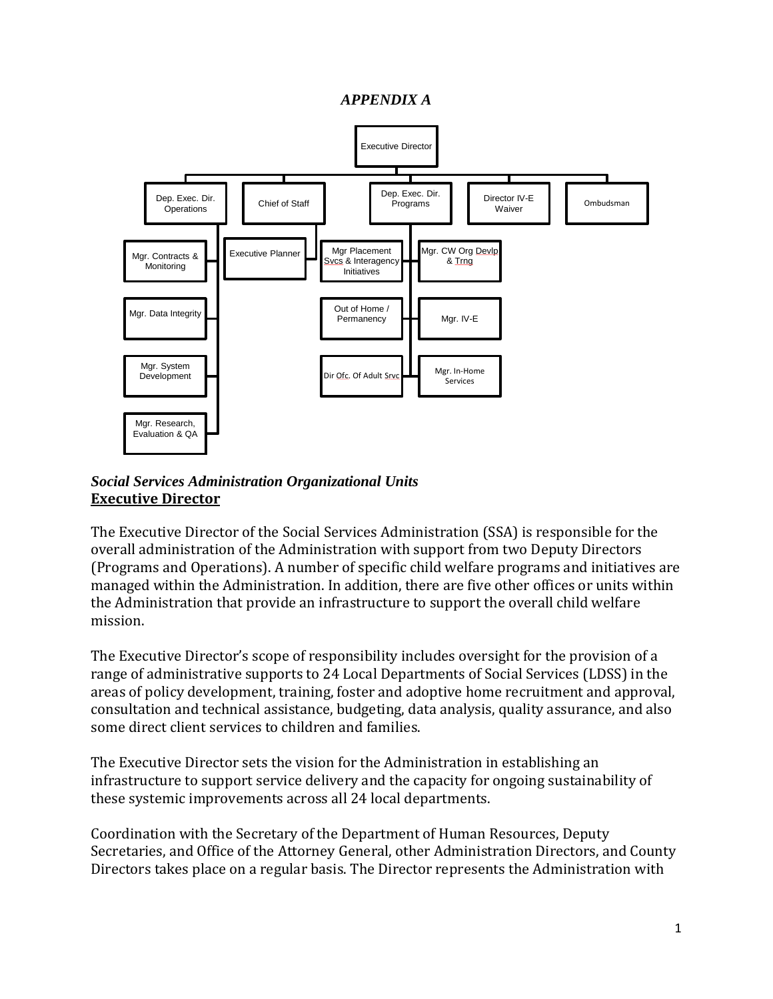#### *APPENDIX A*



#### *Social Services Administration Organizational Units* **Executive Director**

The Executive Director of the Social Services Administration (SSA) is responsible for the overall administration of the Administration with support from two Deputy Directors (Programs and Operations). A number of specific child welfare programs and initiatives are managed within the Administration. In addition, there are five other offices or units within the Administration that provide an infrastructure to support the overall child welfare mission.

The Executive Director's scope of responsibility includes oversight for the provision of a range of administrative supports to 24 Local Departments of Social Services (LDSS) in the areas of policy development, training, foster and adoptive home recruitment and approval, consultation and technical assistance, budgeting, data analysis, quality assurance, and also some direct client services to children and families.

The Executive Director sets the vision for the Administration in establishing an infrastructure to support service delivery and the capacity for ongoing sustainability of these systemic improvements across all 24 local departments.

Coordination with the Secretary of the Department of Human Resources, Deputy Secretaries, and Office of the Attorney General, other Administration Directors, and County Directors takes place on a regular basis. The Director represents the Administration with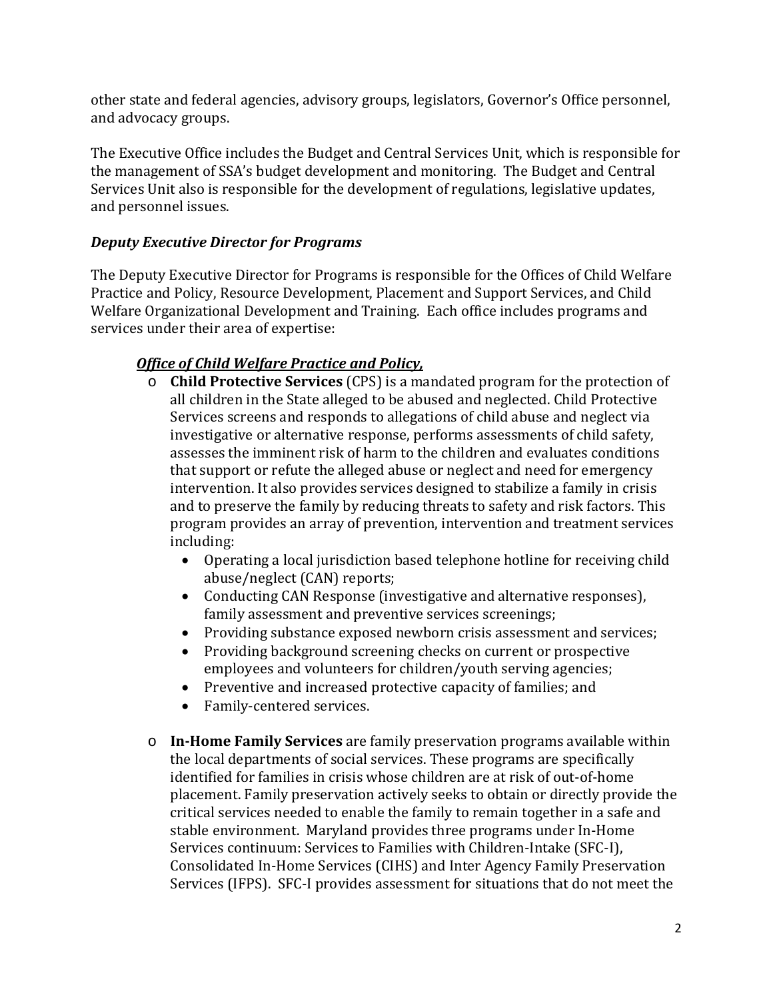other state and federal agencies, advisory groups, legislators, Governor's Office personnel, and advocacy groups.

The Executive Office includes the Budget and Central Services Unit, which is responsible for the management of SSA's budget development and monitoring. The Budget and Central Services Unit also is responsible for the development of regulations, legislative updates, and personnel issues.

# *Deputy Executive Director for Programs*

The Deputy Executive Director for Programs is responsible for the Offices of Child Welfare Practice and Policy, Resource Development, Placement and Support Services, and Child Welfare Organizational Development and Training. Each office includes programs and services under their area of expertise:

# *Office of Child Welfare Practice and Policy,*

- o **Child Protective Services** (CPS) is a mandated program for the protection of all children in the State alleged to be abused and neglected. Child Protective Services screens and responds to allegations of child abuse and neglect via investigative or alternative response, performs assessments of child safety, assesses the imminent risk of harm to the children and evaluates conditions that support or refute the alleged abuse or neglect and need for emergency intervention. It also provides services designed to stabilize a family in crisis and to preserve the family by reducing threats to safety and risk factors. This program provides an array of prevention, intervention and treatment services including:
	- Operating a local jurisdiction based telephone hotline for receiving child abuse/neglect (CAN) reports;
	- Conducting CAN Response (investigative and alternative responses), family assessment and preventive services screenings;
	- Providing substance exposed newborn crisis assessment and services;
	- Providing background screening checks on current or prospective employees and volunteers for children/youth serving agencies;
	- Preventive and increased protective capacity of families; and
	- Family-centered services.
- o **In-Home Family Services** are family preservation programs available within the local departments of social services. These programs are specifically identified for families in crisis whose children are at risk of out-of-home placement. Family preservation actively seeks to obtain or directly provide the critical services needed to enable the family to remain together in a safe and stable environment. Maryland provides three programs under In-Home Services continuum: Services to Families with Children-Intake (SFC-I), Consolidated In-Home Services (CIHS) and Inter Agency Family Preservation Services (IFPS). SFC-I provides assessment for situations that do not meet the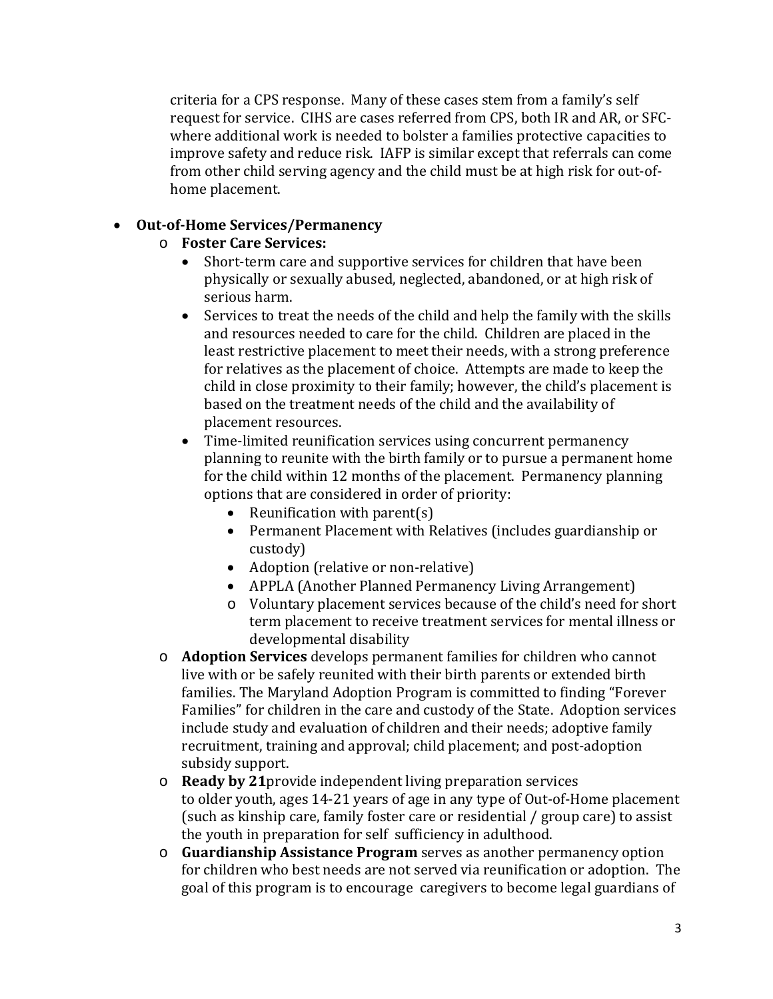criteria for a CPS response. Many of these cases stem from a family's self request for service. CIHS are cases referred from CPS, both IR and AR, or SFCwhere additional work is needed to bolster a families protective capacities to improve safety and reduce risk. IAFP is similar except that referrals can come from other child serving agency and the child must be at high risk for out-ofhome placement.

### • **Out-of-Home Services/Permanency**

- o **Foster Care Services:**
	- Short-term care and supportive services for children that have been physically or sexually abused, neglected, abandoned, or at high risk of serious harm.
	- Services to treat the needs of the child and help the family with the skills and resources needed to care for the child. Children are placed in the least restrictive placement to meet their needs, with a strong preference for relatives as the placement of choice. Attempts are made to keep the child in close proximity to their family; however, the child's placement is based on the treatment needs of the child and the availability of placement resources.
	- Time-limited reunification services using concurrent permanency planning to reunite with the birth family or to pursue a permanent home for the child within 12 months of the placement. Permanency planning options that are considered in order of priority:
		- Reunification with parent(s)
		- Permanent Placement with Relatives (includes guardianship or custody)
		- Adoption (relative or non-relative)
		- APPLA (Another Planned Permanency Living Arrangement)
		- o Voluntary placement services because of the child's need for short term placement to receive treatment services for mental illness or developmental disability
- o **Adoption Services** develops permanent families for children who cannot live with or be safely reunited with their birth parents or extended birth families. The Maryland Adoption Program is committed to finding "Forever Families" for children in the care and custody of the State. Adoption services include study and evaluation of children and their needs; adoptive family recruitment, training and approval; child placement; and post-adoption subsidy support.
- o **Ready by 21**provide independent living preparation services to older youth, ages 14-21 years of age in any type of Out-of-Home placement (such as kinship care, family foster care or residential / group care) to assist the youth in preparation for self sufficiency in adulthood.
- o **Guardianship Assistance Program** serves as another permanency option for children who best needs are not served via reunification or adoption. The goal of this program is to encourage caregivers to become legal guardians of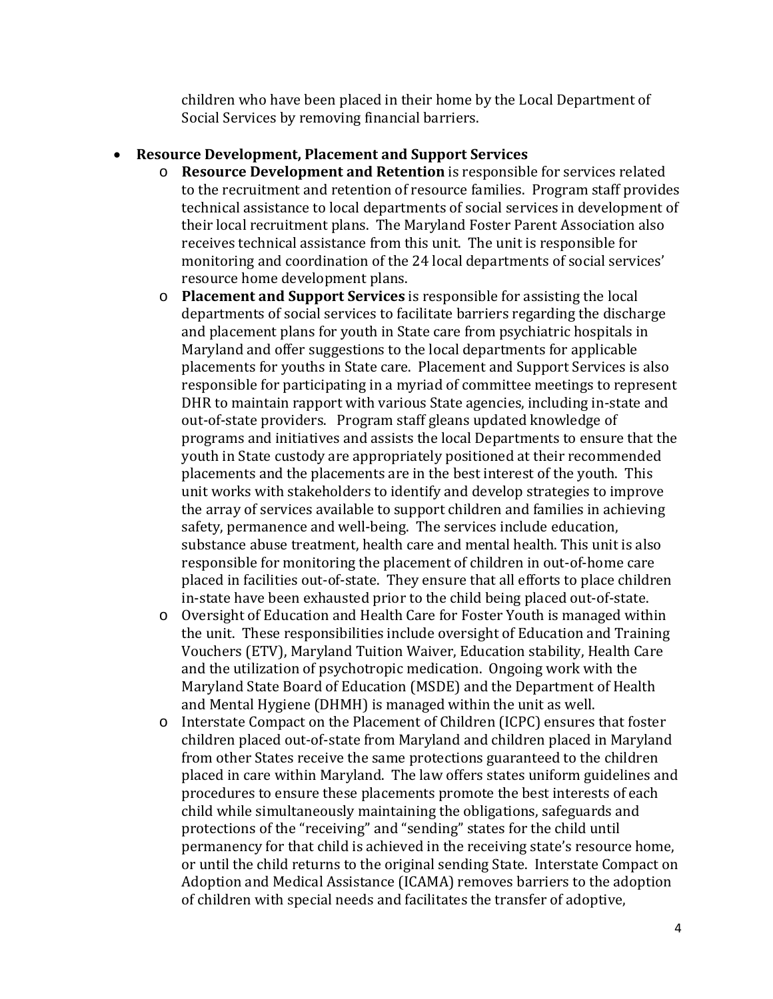children who have been placed in their home by the Local Department of Social Services by removing financial barriers.

#### • **Resource Development, Placement and Support Services**

- o **Resource Development and Retention** is responsible for services related to the recruitment and retention of resource families. Program staff provides technical assistance to local departments of social services in development of their local recruitment plans. The Maryland Foster Parent Association also receives technical assistance from this unit. The unit is responsible for monitoring and coordination of the 24 local departments of social services' resource home development plans.
- o **Placement and Support Services** is responsible for assisting the local departments of social services to facilitate barriers regarding the discharge and placement plans for youth in State care from psychiatric hospitals in Maryland and offer suggestions to the local departments for applicable placements for youths in State care. Placement and Support Services is also responsible for participating in a myriad of committee meetings to represent DHR to maintain rapport with various State agencies, including in-state and out-of-state providers. Program staff gleans updated knowledge of programs and initiatives and assists the local Departments to ensure that the youth in State custody are appropriately positioned at their recommended placements and the placements are in the best interest of the youth. This unit works with stakeholders to identify and develop strategies to improve the array of services available to support children and families in achieving safety, permanence and well-being. The services include education, substance abuse treatment, health care and mental health. This unit is also responsible for monitoring the placement of children in out-of-home care placed in facilities out-of-state. They ensure that all efforts to place children in-state have been exhausted prior to the child being placed out-of-state.
- o Oversight of Education and Health Care for Foster Youth is managed within the unit. These responsibilities include oversight of Education and Training Vouchers (ETV), Maryland Tuition Waiver, Education stability, Health Care and the utilization of psychotropic medication. Ongoing work with the Maryland State Board of Education (MSDE) and the Department of Health and Mental Hygiene (DHMH) is managed within the unit as well.
- o Interstate Compact on the Placement of Children (ICPC) ensures that foster children placed out-of-state from Maryland and children placed in Maryland from other States receive the same protections guaranteed to the children placed in care within Maryland. The law offers states uniform guidelines and procedures to ensure these placements promote the best interests of each child while simultaneously maintaining the obligations, safeguards and protections of the "receiving" and "sending" states for the child until permanency for that child is achieved in the receiving state's resource home, or until the child returns to the original sending State. Interstate Compact on Adoption and Medical Assistance (ICAMA) removes barriers to the adoption of children with special needs and facilitates the transfer of adoptive,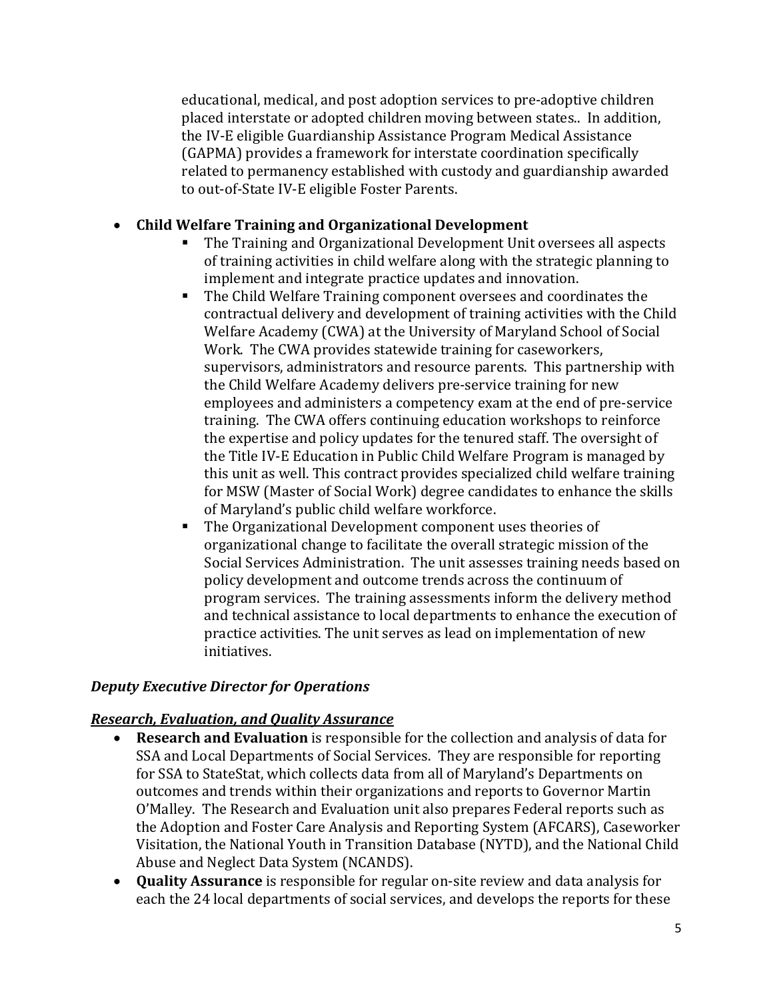educational, medical, and post adoption services to pre-adoptive children placed interstate or adopted children moving between states.. In addition, the IV-E eligible Guardianship Assistance Program Medical Assistance (GAPMA) provides a framework for interstate coordination specifically related to permanency established with custody and guardianship awarded to out-of-State IV-E eligible Foster Parents.

# • **Child Welfare Training and Organizational Development**

- The Training and Organizational Development Unit oversees all aspects of training activities in child welfare along with the strategic planning to implement and integrate practice updates and innovation.
- The Child Welfare Training component oversees and coordinates the contractual delivery and development of training activities with the Child Welfare Academy (CWA) at the University of Maryland School of Social Work. The CWA provides statewide training for caseworkers, supervisors, administrators and resource parents. This partnership with the Child Welfare Academy delivers pre-service training for new employees and administers a competency exam at the end of pre-service training. The CWA offers continuing education workshops to reinforce the expertise and policy updates for the tenured staff. The oversight of the Title IV-E Education in Public Child Welfare Program is managed by this unit as well. This contract provides specialized child welfare training for MSW (Master of Social Work) degree candidates to enhance the skills of Maryland's public child welfare workforce.
- The Organizational Development component uses theories of organizational change to facilitate the overall strategic mission of the Social Services Administration. The unit assesses training needs based on policy development and outcome trends across the continuum of program services. The training assessments inform the delivery method and technical assistance to local departments to enhance the execution of practice activities. The unit serves as lead on implementation of new initiatives.

# *Deputy Executive Director for Operations*

# *Research, Evaluation, and Quality Assurance*

- **Research and Evaluation** is responsible for the collection and analysis of data for SSA and Local Departments of Social Services. They are responsible for reporting for SSA to StateStat, which collects data from all of Maryland's Departments on outcomes and trends within their organizations and reports to Governor Martin O'Malley. The Research and Evaluation unit also prepares Federal reports such as the Adoption and Foster Care Analysis and Reporting System (AFCARS), Caseworker Visitation, the National Youth in Transition Database (NYTD), and the National Child Abuse and Neglect Data System (NCANDS).
- **Quality Assurance** is responsible for regular on-site review and data analysis for each the 24 local departments of social services, and develops the reports for these